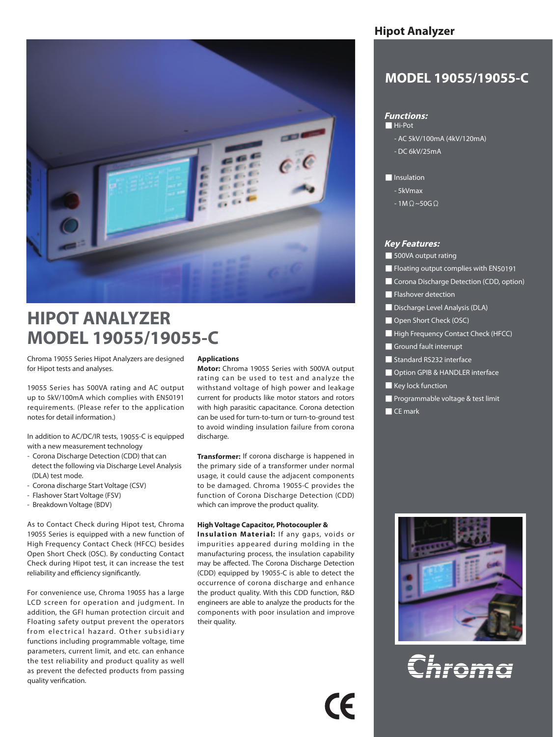

# **HIPOT ANALYZER MODEL 19055/19055-C**

Chroma 19055 Series Hipot Analyzers are designed for Hipot tests and analyses.

19055 Series has 500VA rating and AC output up to 5kV/100mA which complies with EN50191 requirements. (Please refer to the application notes for detail information.)

In addition to AC/DC/IR tests, 19055-C is equipped with a new measurement technology

- Corona Discharge Detection (CDD) that can detect the following via Discharge Level Analysis (DLA) test mode.
- Corona discharge Start Voltage (CSV)
- Flashover Start Voltage (FSV)
- Breakdown Voltage (BDV)

As to Contact Check during Hipot test, Chroma 19055 Series is equipped with a new function of High Frequency Contact Check (HFCC) besides Open Short Check (OSC). By conducting Contact Check during Hipot test, it can increase the test reliability and efficiency significantly.

For convenience use, Chroma 19055 has a large LCD screen for operation and judgment. In addition, the GFI human protection circuit and Floating safety output prevent the operators from electrical hazard. Other subsidiary functions including programmable voltage, time parameters, current limit, and etc. can enhance the test reliability and product quality as well as prevent the defected products from passing quality verification.

#### **Applications**

**Motor:** Chroma 19055 Series with 500VA output rating can be used to test and analyze the withstand voltage of high power and leakage current for products like motor stators and rotors with high parasitic capacitance. Corona detection can be used for turn-to-turn or turn-to-ground test to avoid winding insulation failure from corona discharge.

**Transformer:** If corona discharge is happened in the primary side of a transformer under normal usage, it could cause the adjacent components to be damaged. Chroma 19055-C provides the function of Corona Discharge Detection (CDD) which can improve the product quality.

#### **High Voltage Capacitor, Photocoupler &**

**Insulation Material:** If any gaps, voids or impurities appeared during molding in the manufacturing process, the insulation capability may be affected. The Corona Discharge Detection (CDD) equipped by 19055-C is able to detect the occurrence of corona discharge and enhance the product quality. With this CDD function, R&D engineers are able to analyze the products for the components with poor insulation and improve their quality.

## **Hipot Analyzer**

## **MODEL 19055/19055-C**

## **Functions:**

## ■ Hi-Pot

- AC 5kV/100mA (4kV/120mA)
- DC 6kV/25mA

■ Insulation

- 5kVmax
- $-1M\Omega$ ~50G $\Omega$

#### **Key Features:**

- 500VA output rating
- Floating output complies with EN50191
- Corona Discharge Detection (CDD, option)
- Flashover detection
- Discharge Level Analysis (DLA)
- Open Short Check (OSC)
- High Frequency Contact Check (HFCC)
- Ground fault interrupt
- Standard RS232 interface
- Option GPIB & HANDLER interface
- Key lock function
- Programmable voltage & test limit
- CE mark



al<br>Chram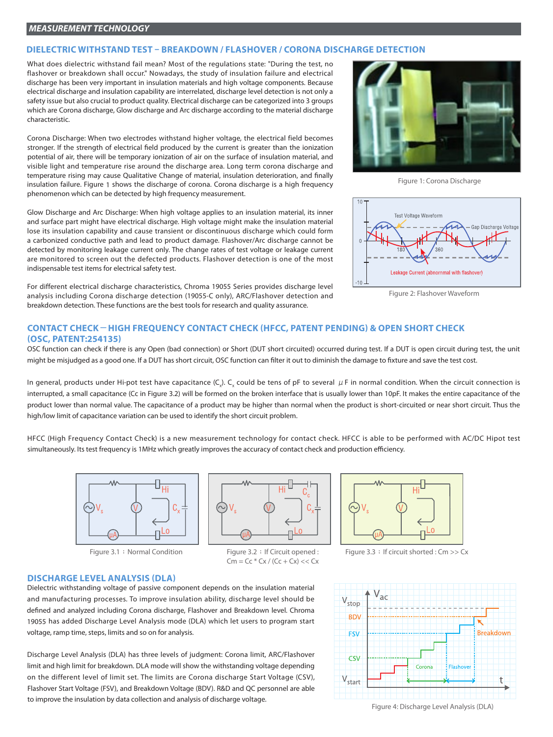#### **DIELECTRIC WITHSTAND TEST – BREAKDOWN / FLASHOVER / CORONA DISCHARGE DETECTION**

What does dielectric withstand fail mean? Most of the regulations state: "During the test, no flashover or breakdown shall occur." Nowadays, the study of insulation failure and electrical discharge has been very important in insulation materials and high voltage components. Because electrical discharge and insulation capability are interrelated, discharge level detection is not only a safety issue but also crucial to product quality. Electrical discharge can be categorized into 3 groups which are Corona discharge, Glow discharge and Arc discharge according to the material discharge characteristic.

Corona Discharge: When two electrodes withstand higher voltage, the electrical field becomes stronger. If the strength of electrical field produced by the current is greater than the ionization potential of air, there will be temporary ionization of air on the surface of insulation material, and visible light and temperature rise around the discharge area. Long term corona discharge and temperature rising may cause Qualitative Change of material, insulation deterioration, and finally insulation failure. Figure 1 shows the discharge of corona. Corona discharge is a high frequency phenomenon which can be detected by high frequency measurement.

Glow Discharge and Arc Discharge: When high voltage applies to an insulation material, its inner and surface part might have electrical discharge. High voltage might make the insulation material lose its insulation capability and cause transient or discontinuous discharge which could form a carbonized conductive path and lead to product damage. Flashover/Arc discharge cannot be detected by monitoring leakage current only. The change rates of test voltage or leakage current are monitored to screen out the defected products. Flashover detection is one of the most indispensable test items for electrical safety test.

For different electrical discharge characteristics, Chroma 19055 Series provides discharge level analysis including Corona discharge detection (19055-C only), ARC/Flashover detection and breakdown detection. These functions are the best tools for research and quality assurance.



Figure 1: Corona Discharge



Figure 2: Flashover Waveform

## **CONTACT CHECK-HIGH FREQUENCY CONTACT CHECK (HFCC, PATENT PENDING) & OPEN SHORT CHECK (OSC, PATENT:254135)**

OSC function can check if there is any Open (bad connection) or Short (DUT short circuited) occurred during test. If a DUT is open circuit during test, the unit might be misjudged as a good one. If a DUT has short circuit, OSC function can filter it out to diminish the damage to fixture and save the test cost.

In general, products under Hi-pot test have capacitance (C<sub>x</sub>). C<sub>x</sub> could be tens of pF to several  $\,\mu$  F in normal condition. When the circuit connection is interrupted, a small capacitance (Cc in Figure 3.2) will be formed on the broken interface that is usually lower than 10pF. It makes the entire capacitance of the product lower than normal value. The capacitance of a product may be higher than normal when the product is short-circuited or near short circuit. Thus the high/low limit of capacitance variation can be used to identify the short circuit problem.

HFCC (High Frequency Contact Check) is a new measurement technology for contact check. HFCC is able to be performed with AC/DC Hipot test simultaneously. Its test frequency is 1MHz which greatly improves the accuracy of contact check and production efficiency.





 $Cm = Cc * Cx / (Cc + Cx) << Cx$ 



Figure 3.1 : Normal Condition Figure 3.2 : If Circuit opened : Figure 3.3 : If circuit shorted : Cm >> Cx

#### **DISCHARGE LEVEL ANALYSIS (DLA)**

Dielectric withstanding voltage of passive component depends on the insulation material and manufacturing processes. To improve insulation ability, discharge level should be defined and analyzed including Corona discharge, Flashover and Breakdown level. Chroma 19055 has added Discharge Level Analysis mode (DLA) which let users to program start voltage, ramp time, steps, limits and so on for analysis.

Discharge Level Analysis (DLA) has three levels of judgment: Corona limit, ARC/Flashover limit and high limit for breakdown. DLA mode will show the withstanding voltage depending on the different level of limit set. The limits are Corona discharge Start Voltage (CSV), Flashover Start Voltage (FSV), and Breakdown Voltage (BDV). R&D and QC personnel are able to improve the insulation by data collection and analysis of discharge voltage.



Figure 4: Discharge Level Analysis (DLA)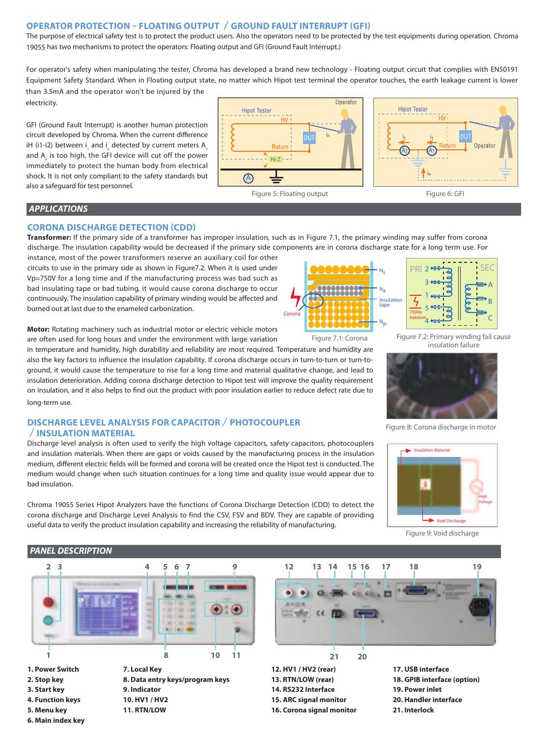## **OPERATOR PROTECTION – FLOATING OUTPUT /GROUND FAULT INTERRUPT (GFI)**

The purpose of electrical safety test is to protect the product users. Also the operators need to be protected by the test equipments during operation. Chroma 19055 has two mechanisms to protect the operators: Floating output and GFI (Ground Fault Interrupt.)

For operator's safety when manipulating the tester, Chroma has developed a brand new technology - Floating output circuit that complies with EN50191 Equipment Safety Standard. When in Floating output state, no matter which Hipot test terminal the operator touches, the earth leakage current is lower than 3.5mA and the operator won't be injured by the

GFI (Ground Fault Interrupt) is another human protection circuit developed by Chroma. When the current difference iH (i1-i2) between i<sub>,</sub> and i<sub>2</sub> detected by current meters A<sub>1</sub> and A<sub>2</sub> is too high, the GFI device will cut off the power immediately to protect the human body from electrical shock. It is not only compliant to the safety standards but also a safeguard for test personnel.





## *APPLICATIONS*

electricity.

## **CORONA DISCHARGE DETECTION (CDD)**

**Transformer:** If the primary side of a transformer has improper insulation, such as in Figure 7.1, the primary winding may suffer from corona discharge. The insulation capability would be decreased if the primary side components are in corona discharge state for a long term use. For

instance, most of the power transformers reserve an auxiliary coil for other circuits to use in the primary side as shown in Figure7.2. When it is used under Vp=750V for a long time and if the manufacturing process was bad such as bad insulating tape or bad tubing, it would cause corona discharge to occur continuously. The insulation capability of primary winding would be affected and burned out at last due to the enameled carbonization.

**Motor:** Rotating machinery such as industrial motor or electric vehicle motors are often used for long hours and under the environment with large variation

in temperature and humidity, high durability and reliability are most required. Temperature and humidity are also the key factors to influence the insulation capability. If corona discharge occurs in turn-to-turn or turn-toground, it would cause the temperature to rise for a long time and material qualitative change, and lead to insulation deterioration. Adding corona discharge detection to Hipot test will improve the quality requirement on insulation, and it also helps to find out the product with poor insulation earlier to reduce defect rate due to long-term use.

## **DISCHARGE LEVEL ANALYSIS FOR CAPACITOR/PHOTOCOUPLER /INSULATION MATERIAL**

Discharge level analysis is often used to verify the high voltage capacitors, safety capacitors, photocouplers and insulation materials. When there are gaps or voids caused by the manufacturing process in the insulation medium, different electric fields will be formed and corona will be created once the Hipot test is conducted. The medium would change when such situation continues for a long time and quality issue would appear due to bad insulation.

Chroma 19055 Series Hipot Analyzers have the functions of Corona Discharge Detection (CDD) to detect the corona discharge and Discharge Level Analysis to find the CSV, FSV and BDV. They are capable of providing useful data to verify the product insulation capability and increasing the reliability of manufacturing.





Figure 7.2: Primary winding fail cause insulation failure



Figure 8: Corona discharge in motor



Figure 9: Void discharge

## *PANEL DESCRIPTION*



**11. RTN/LOW**



**12. HV1 / HV2 (rear) 13. RTN/LOW (rear) 14. RS232 Interface 15. ARC signal monitor 16. Corona signal monitor**

**17. USB interface 18. GPIB interface (option) 19. Power inlet 20. Handler interface 21. Interlock**

**6. Main index key**

**5. Menu key**